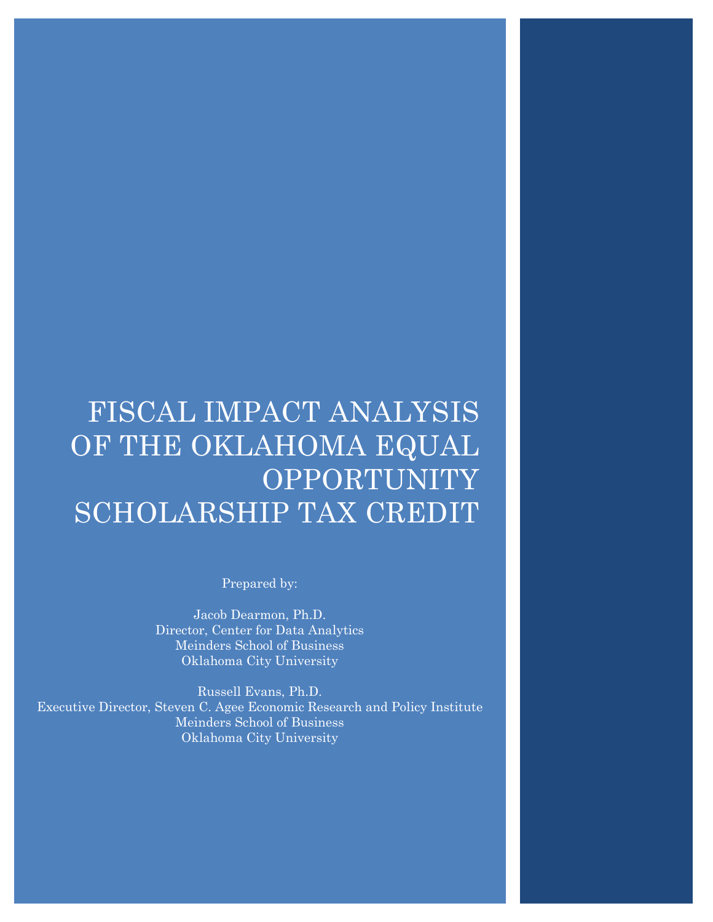# FISCAL IMPACT ANALYSIS OF THE OKLAHOMA EQUAL **OPPORTUNITY** SCHOLARSHIP TAX CREDIT

Prepared by:

Jacob Dearmon, Ph.D. Director, Center for Data Analytics Meinders School of Business Oklahoma City University

Russell Evans, Ph.D. Executive Director, Steven C. Agee Economic Research and Policy Institute Meinders School of Business Oklahoma City University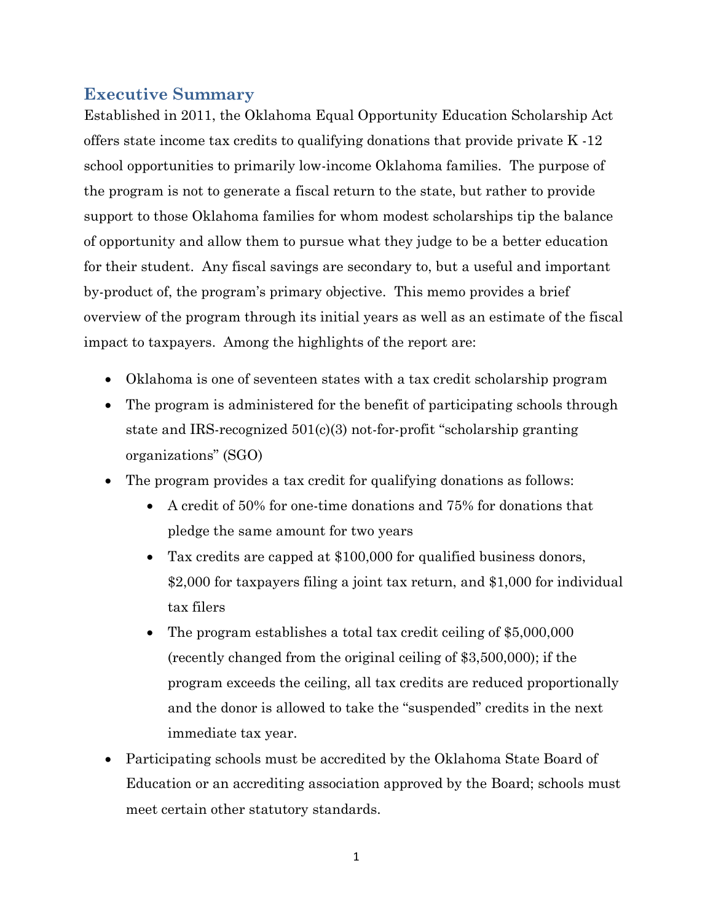# **Executive Summary**

Established in 2011, the Oklahoma Equal Opportunity Education Scholarship Act offers state income tax credits to qualifying donations that provide private K -12 school opportunities to primarily low-income Oklahoma families. The purpose of the program is not to generate a fiscal return to the state, but rather to provide support to those Oklahoma families for whom modest scholarships tip the balance of opportunity and allow them to pursue what they judge to be a better education for their student. Any fiscal savings are secondary to, but a useful and important by-product of, the program's primary objective. This memo provides a brief overview of the program through its initial years as well as an estimate of the fiscal impact to taxpayers. Among the highlights of the report are:

- Oklahoma is one of seventeen states with a tax credit scholarship program
- The program is administered for the benefit of participating schools through state and IRS-recognized 501(c)(3) not-for-profit "scholarship granting organizations" (SGO)
- The program provides a tax credit for qualifying donations as follows:
	- A credit of 50% for one-time donations and 75% for donations that pledge the same amount for two years
	- Tax credits are capped at \$100,000 for qualified business donors, \$2,000 for taxpayers filing a joint tax return, and \$1,000 for individual tax filers
	- The program establishes a total tax credit ceiling of \$5,000,000 (recently changed from the original ceiling of \$3,500,000); if the program exceeds the ceiling, all tax credits are reduced proportionally and the donor is allowed to take the "suspended" credits in the next immediate tax year.
- Participating schools must be accredited by the Oklahoma State Board of Education or an accrediting association approved by the Board; schools must meet certain other statutory standards.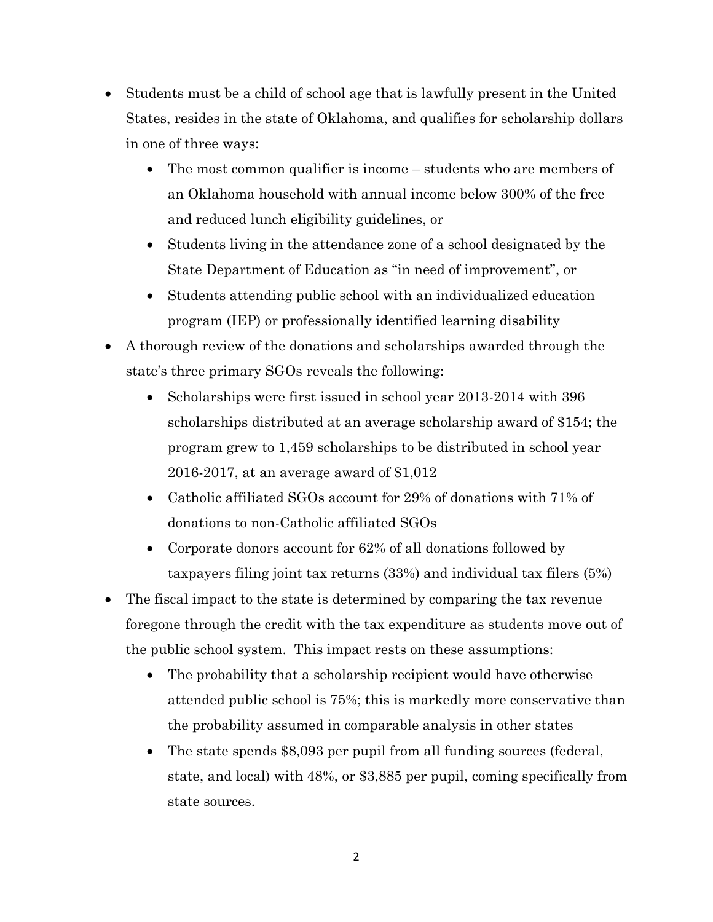- Students must be a child of school age that is lawfully present in the United States, resides in the state of Oklahoma, and qualifies for scholarship dollars in one of three ways:
	- The most common qualifier is income students who are members of an Oklahoma household with annual income below 300% of the free and reduced lunch eligibility guidelines, or
	- Students living in the attendance zone of a school designated by the State Department of Education as "in need of improvement", or
	- Students attending public school with an individualized education program (IEP) or professionally identified learning disability
- A thorough review of the donations and scholarships awarded through the state's three primary SGOs reveals the following:
	- Scholarships were first issued in school year 2013-2014 with 396 scholarships distributed at an average scholarship award of \$154; the program grew to 1,459 scholarships to be distributed in school year 2016-2017, at an average award of \$1,012
	- Catholic affiliated SGOs account for 29% of donations with 71% of donations to non-Catholic affiliated SGOs
	- Corporate donors account for 62% of all donations followed by taxpayers filing joint tax returns (33%) and individual tax filers (5%)
- The fiscal impact to the state is determined by comparing the tax revenue foregone through the credit with the tax expenditure as students move out of the public school system. This impact rests on these assumptions:
	- The probability that a scholarship recipient would have otherwise attended public school is 75%; this is markedly more conservative than the probability assumed in comparable analysis in other states
	- The state spends \$8,093 per pupil from all funding sources (federal, state, and local) with 48%, or \$3,885 per pupil, coming specifically from state sources.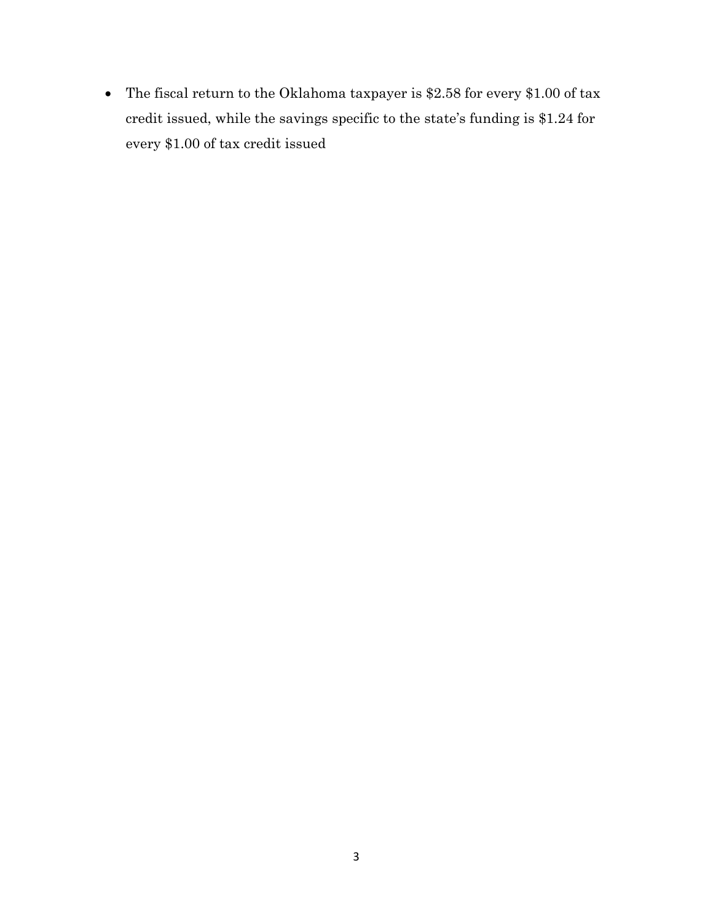The fiscal return to the Oklahoma taxpayer is \$2.58 for every \$1.00 of tax credit issued, while the savings specific to the state's funding is \$1.24 for every \$1.00 of tax credit issued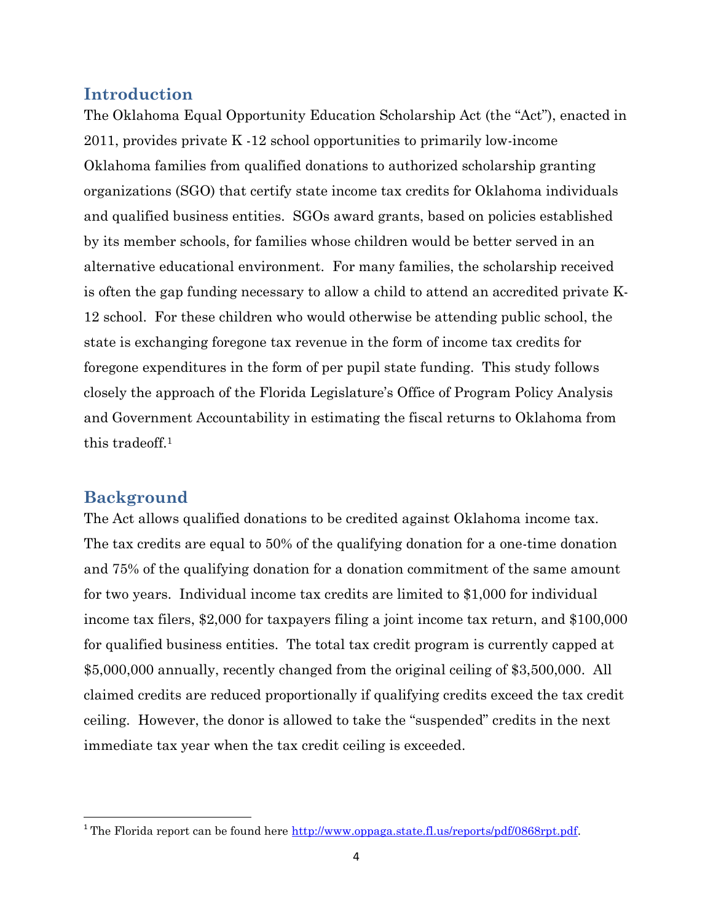### **Introduction**

The Oklahoma Equal Opportunity Education Scholarship Act (the "Act"), enacted in 2011, provides private K -12 school opportunities to primarily low-income Oklahoma families from qualified donations to authorized scholarship granting organizations (SGO) that certify state income tax credits for Oklahoma individuals and qualified business entities. SGOs award grants, based on policies established by its member schools, for families whose children would be better served in an alternative educational environment. For many families, the scholarship received is often the gap funding necessary to allow a child to attend an accredited private K-12 school. For these children who would otherwise be attending public school, the state is exchanging foregone tax revenue in the form of income tax credits for foregone expenditures in the form of per pupil state funding. This study follows closely the approach of the Florida Legislature's Office of Program Policy Analysis and Government Accountability in estimating the fiscal returns to Oklahoma from this tradeoff.<sup>1</sup>

## **Background**

 $\overline{a}$ 

The Act allows qualified donations to be credited against Oklahoma income tax. The tax credits are equal to 50% of the qualifying donation for a one-time donation and 75% of the qualifying donation for a donation commitment of the same amount for two years. Individual income tax credits are limited to \$1,000 for individual income tax filers, \$2,000 for taxpayers filing a joint income tax return, and \$100,000 for qualified business entities. The total tax credit program is currently capped at \$5,000,000 annually, recently changed from the original ceiling of \$3,500,000. All claimed credits are reduced proportionally if qualifying credits exceed the tax credit ceiling. However, the donor is allowed to take the "suspended" credits in the next immediate tax year when the tax credit ceiling is exceeded.

<sup>&</sup>lt;sup>1</sup> The Florida report can be found here [http://www.oppaga.state.fl.us/reports/pdf/0868rpt.pdf.](http://www.oppaga.state.fl.us/reports/pdf/0868rpt.pdf)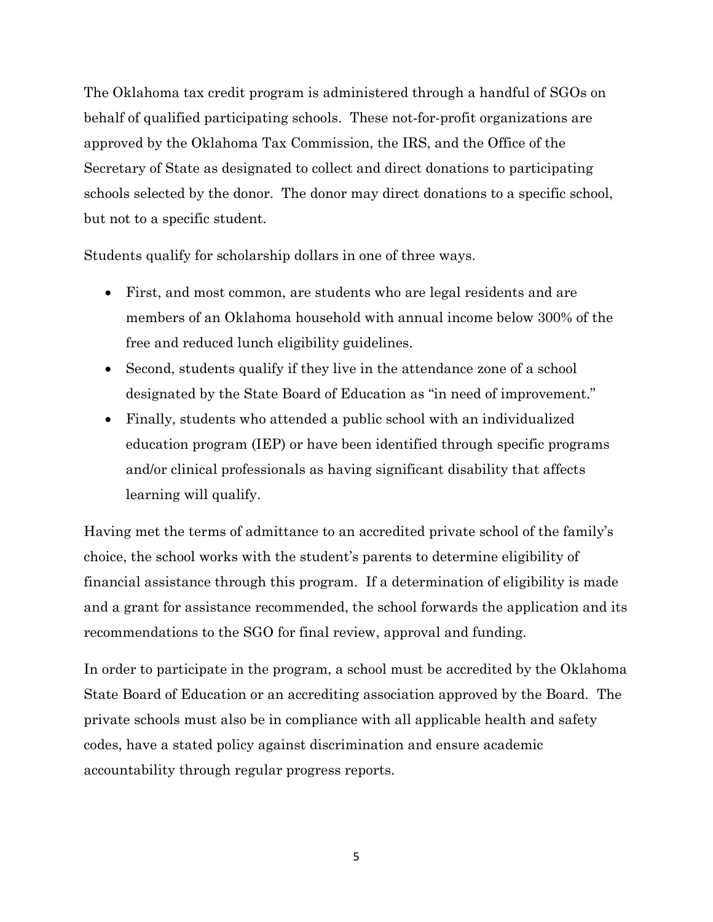The Oklahoma tax credit program is administered through a handful of SGOs on behalf of qualified participating schools. These not-for-profit organizations are approved by the Oklahoma Tax Commission, the IRS, and the Office of the Secretary of State as designated to collect and direct donations to participating schools selected by the donor. The donor may direct donations to a specific school, but not to a specific student.

Students qualify for scholarship dollars in one of three ways.

- First, and most common, are students who are legal residents and are members of an Oklahoma household with annual income below 300% of the free and reduced lunch eligibility guidelines.
- Second, students qualify if they live in the attendance zone of a school designated by the State Board of Education as "in need of improvement."
- Finally, students who attended a public school with an individualized education program (IEP) or have been identified through specific programs and/or clinical professionals as having significant disability that affects learning will qualify.

Having met the terms of admittance to an accredited private school of the family's choice, the school works with the student's parents to determine eligibility of financial assistance through this program. If a determination of eligibility is made and a grant for assistance recommended, the school forwards the application and its recommendations to the SGO for final review, approval and funding.

In order to participate in the program, a school must be accredited by the Oklahoma State Board of Education or an accrediting association approved by the Board. The private schools must also be in compliance with all applicable health and safety codes, have a stated policy against discrimination and ensure academic accountability through regular progress reports.

5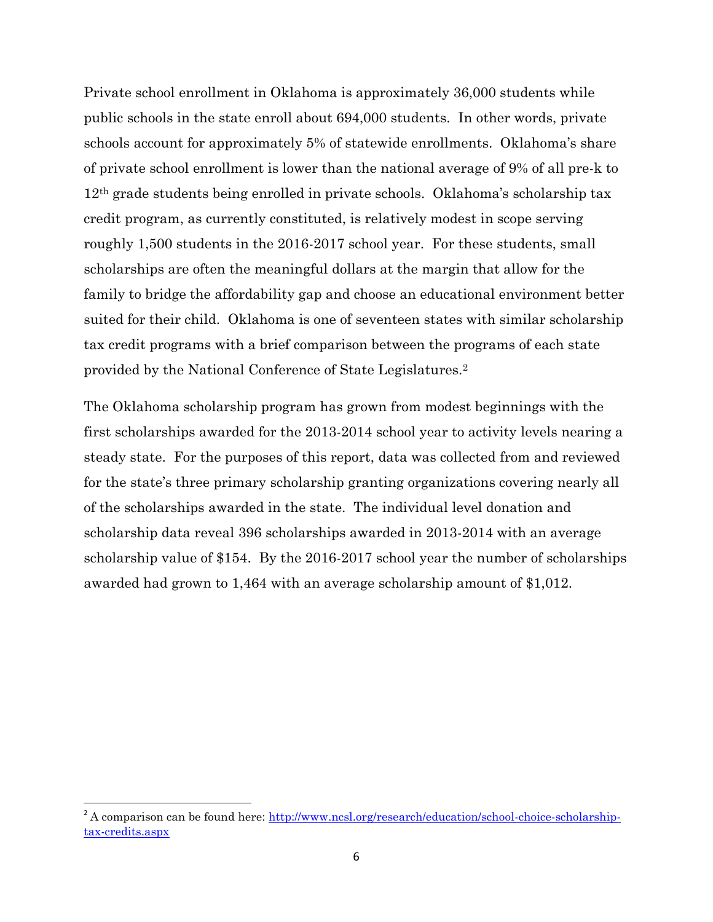Private school enrollment in Oklahoma is approximately 36,000 students while public schools in the state enroll about 694,000 students. In other words, private schools account for approximately 5% of statewide enrollments. Oklahoma's share of private school enrollment is lower than the national average of 9% of all pre-k to 12th grade students being enrolled in private schools. Oklahoma's scholarship tax credit program, as currently constituted, is relatively modest in scope serving roughly 1,500 students in the 2016-2017 school year. For these students, small scholarships are often the meaningful dollars at the margin that allow for the family to bridge the affordability gap and choose an educational environment better suited for their child. Oklahoma is one of seventeen states with similar scholarship tax credit programs with a brief comparison between the programs of each state provided by the National Conference of State Legislatures.<sup>2</sup>

The Oklahoma scholarship program has grown from modest beginnings with the first scholarships awarded for the 2013-2014 school year to activity levels nearing a steady state. For the purposes of this report, data was collected from and reviewed for the state's three primary scholarship granting organizations covering nearly all of the scholarships awarded in the state. The individual level donation and scholarship data reveal 396 scholarships awarded in 2013-2014 with an average scholarship value of \$154. By the 2016-2017 school year the number of scholarships awarded had grown to 1,464 with an average scholarship amount of \$1,012.

<sup>&</sup>lt;sup>2</sup> A comparison can be found here: [http://www.ncsl.org/research/education/school-choice-scholarship](http://www.ncsl.org/research/education/school-choice-scholarship-tax-credits.aspx)[tax-credits.aspx](http://www.ncsl.org/research/education/school-choice-scholarship-tax-credits.aspx)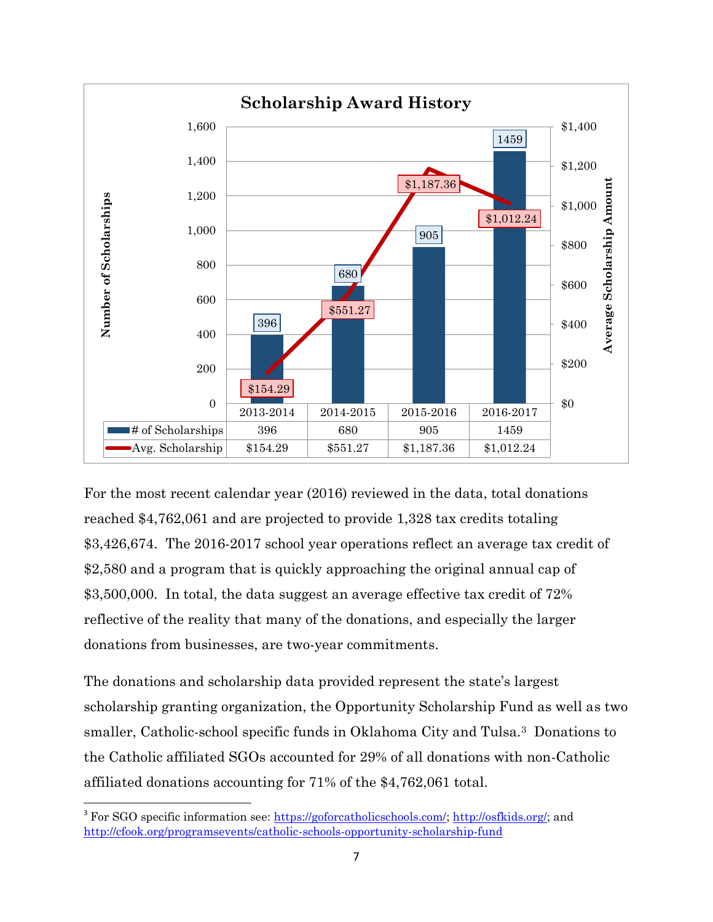

For the most recent calendar year (2016) reviewed in the data, total donations reached \$4,762,061 and are projected to provide 1,328 tax credits totaling \$3,426,674. The 2016-2017 school year operations reflect an average tax credit of \$2,580 and a program that is quickly approaching the original annual cap of \$3,500,000. In total, the data suggest an average effective tax credit of  $72\%$ reflective of the reality that many of the donations, and especially the larger donations from businesses, are two-year commitments.

The donations and scholarship data provided represent the state's largest scholarship granting organization, the Opportunity Scholarship Fund as well as two smaller, Catholic-school specific funds in Oklahoma City and Tulsa.3 Donations to the Catholic affiliated SGOs accounted for 29% of all donations with non-Catholic affiliated donations accounting for 71% of the \$4,762,061 total.

<sup>&</sup>lt;sup>3</sup> For SGO specific information see: [https://goforcatholicschools.com/;](https://goforcatholicschools.com/) [http://osfkids.org/;](http://osfkids.org/) and <http://cfook.org/programsevents/catholic-schools-opportunity-scholarship-fund>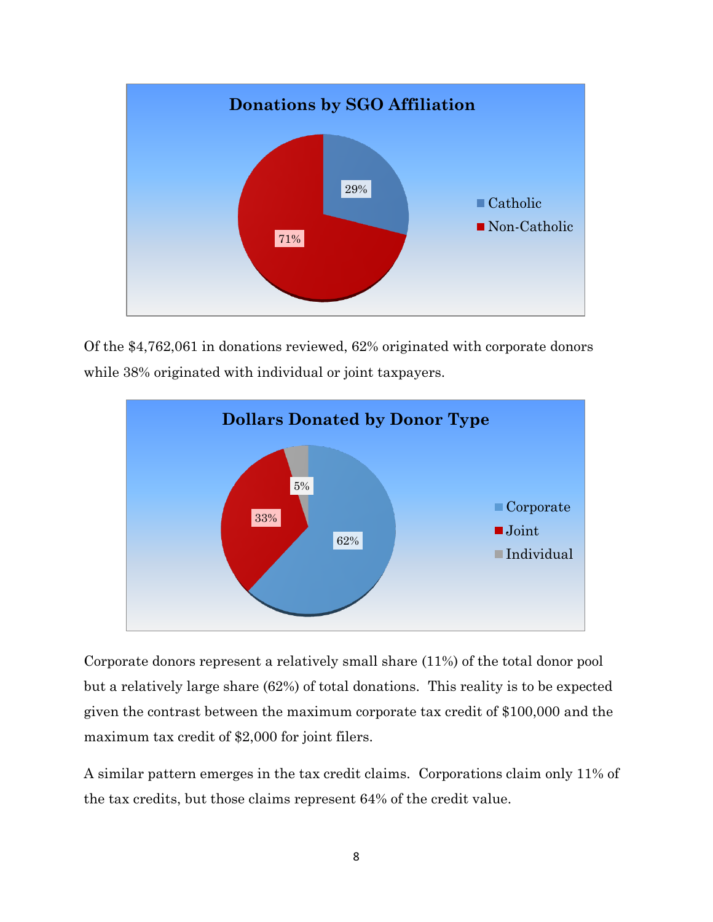

Of the \$4,762,061 in donations reviewed, 62% originated with corporate donors while  $38\%$  originated with individual or joint taxpayers.



Corporate donors represent a relatively small share (11%) of the total donor pool but a relatively large share (62%) of total donations. This reality is to be expected given the contrast between the maximum corporate tax credit of \$100,000 and the maximum tax credit of \$2,000 for joint filers.

A similar pattern emerges in the tax credit claims. Corporations claim only 11% of the tax credits, but those claims represent 64% of the credit value.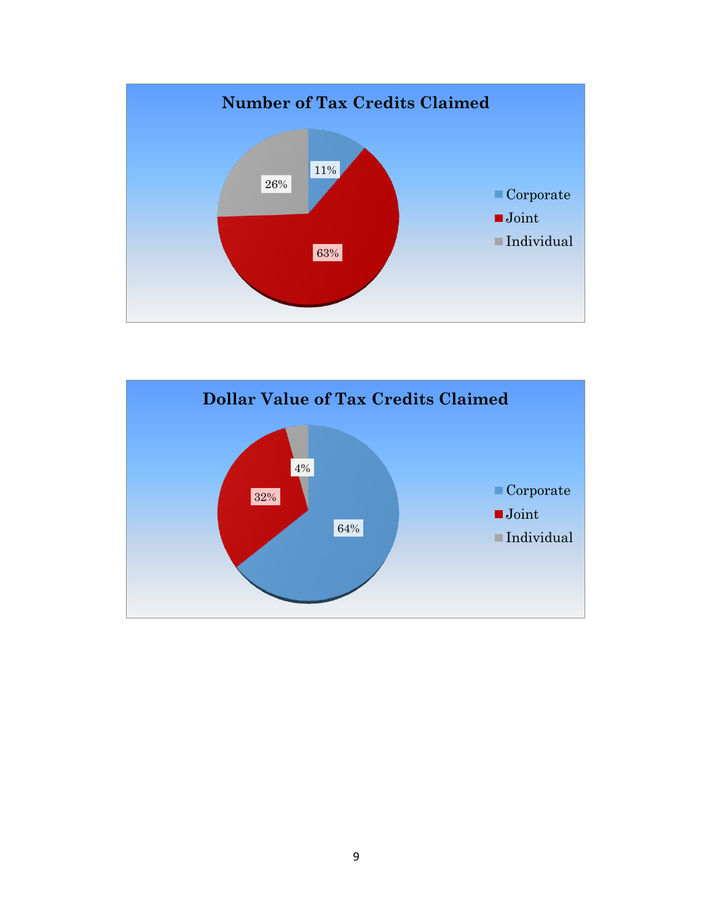

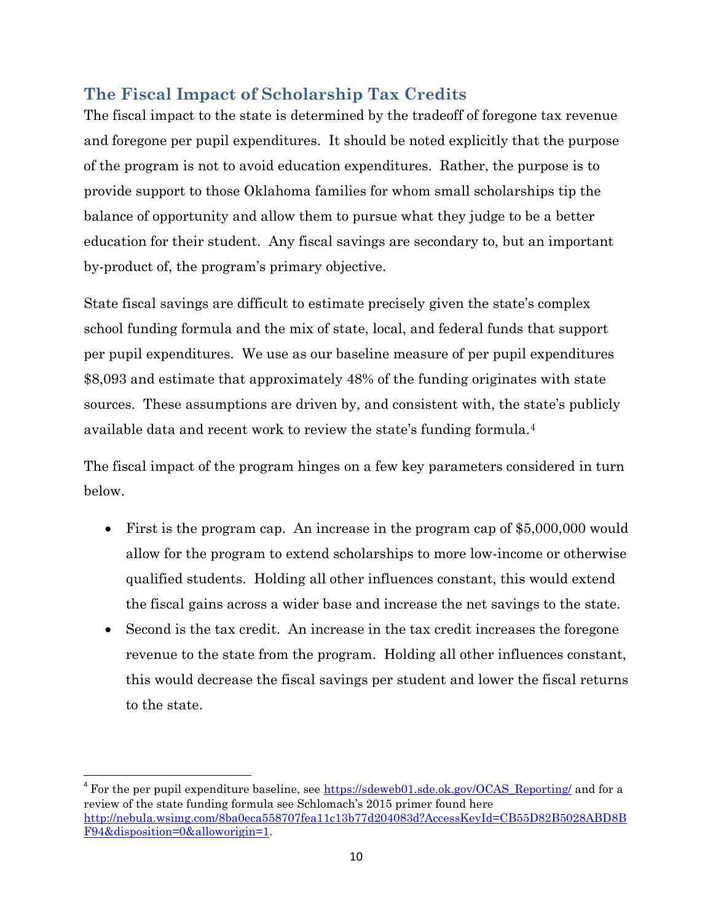# **The Fiscal Impact of Scholarship Tax Credits**

The fiscal impact to the state is determined by the tradeoff of foregone tax revenue and foregone per pupil expenditures. It should be noted explicitly that the purpose of the program is not to avoid education expenditures. Rather, the purpose is to provide support to those Oklahoma families for whom small scholarships tip the balance of opportunity and allow them to pursue what they judge to be a better education for their student. Any fiscal savings are secondary to, but an important by-product of, the program's primary objective.

State fiscal savings are difficult to estimate precisely given the state's complex school funding formula and the mix of state, local, and federal funds that support per pupil expenditures. We use as our baseline measure of per pupil expenditures \$8,093 and estimate that approximately 48% of the funding originates with state sources. These assumptions are driven by, and consistent with, the state's publicly available data and recent work to review the state's funding formula.<sup>4</sup>

The fiscal impact of the program hinges on a few key parameters considered in turn below.

- First is the program cap. An increase in the program cap of \$5,000,000 would allow for the program to extend scholarships to more low-income or otherwise qualified students. Holding all other influences constant, this would extend the fiscal gains across a wider base and increase the net savings to the state.
- Second is the tax credit. An increase in the tax credit increases the foregone revenue to the state from the program. Holding all other influences constant, this would decrease the fiscal savings per student and lower the fiscal returns to the state.

<sup>&</sup>lt;sup>4</sup> For the per pupil expenditure baseline, see [https://sdeweb01.sde.ok.gov/OCAS\\_Reporting/](https://sdeweb01.sde.ok.gov/OCAS_Reporting/) and for a review of the state funding formula see Schlomach's 2015 primer found here [http://nebula.wsimg.com/8ba0eca558707fea11c13b77d204083d?AccessKeyId=CB55D82B5028ABD8B](http://nebula.wsimg.com/8ba0eca558707fea11c13b77d204083d?AccessKeyId=CB55D82B5028ABD8BF94&disposition=0&alloworigin=1) [F94&disposition=0&alloworigin=1.](http://nebula.wsimg.com/8ba0eca558707fea11c13b77d204083d?AccessKeyId=CB55D82B5028ABD8BF94&disposition=0&alloworigin=1)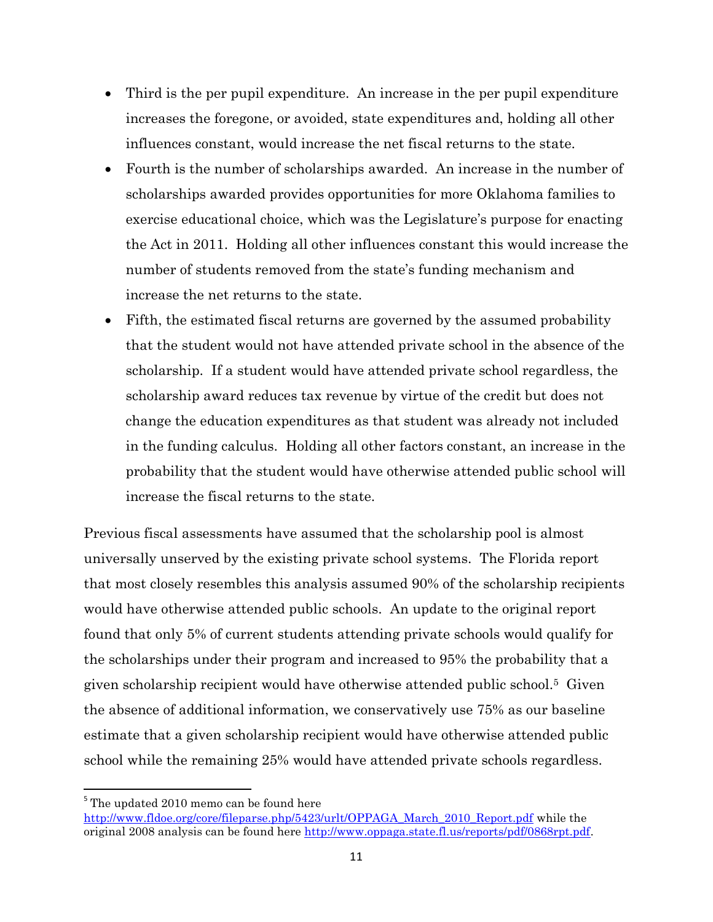- Third is the per pupil expenditure. An increase in the per pupil expenditure increases the foregone, or avoided, state expenditures and, holding all other influences constant, would increase the net fiscal returns to the state.
- Fourth is the number of scholarships awarded. An increase in the number of scholarships awarded provides opportunities for more Oklahoma families to exercise educational choice, which was the Legislature's purpose for enacting the Act in 2011. Holding all other influences constant this would increase the number of students removed from the state's funding mechanism and increase the net returns to the state.
- Fifth, the estimated fiscal returns are governed by the assumed probability that the student would not have attended private school in the absence of the scholarship. If a student would have attended private school regardless, the scholarship award reduces tax revenue by virtue of the credit but does not change the education expenditures as that student was already not included in the funding calculus. Holding all other factors constant, an increase in the probability that the student would have otherwise attended public school will increase the fiscal returns to the state.

Previous fiscal assessments have assumed that the scholarship pool is almost universally unserved by the existing private school systems. The Florida report that most closely resembles this analysis assumed 90% of the scholarship recipients would have otherwise attended public schools. An update to the original report found that only 5% of current students attending private schools would qualify for the scholarships under their program and increased to 95% the probability that a given scholarship recipient would have otherwise attended public school.5 Given the absence of additional information, we conservatively use 75% as our baseline estimate that a given scholarship recipient would have otherwise attended public school while the remaining 25% would have attended private schools regardless.

<sup>&</sup>lt;sup>5</sup> The updated 2010 memo can be found here [http://www.fldoe.org/core/fileparse.php/5423/urlt/OPPAGA\\_March\\_2010\\_Report.pdf](http://www.fldoe.org/core/fileparse.php/5423/urlt/OPPAGA_March_2010_Report.pdf) while the original 2008 analysis can be found here [http://www.oppaga.state.fl.us/reports/pdf/0868rpt.pdf.](http://www.oppaga.state.fl.us/reports/pdf/0868rpt.pdf)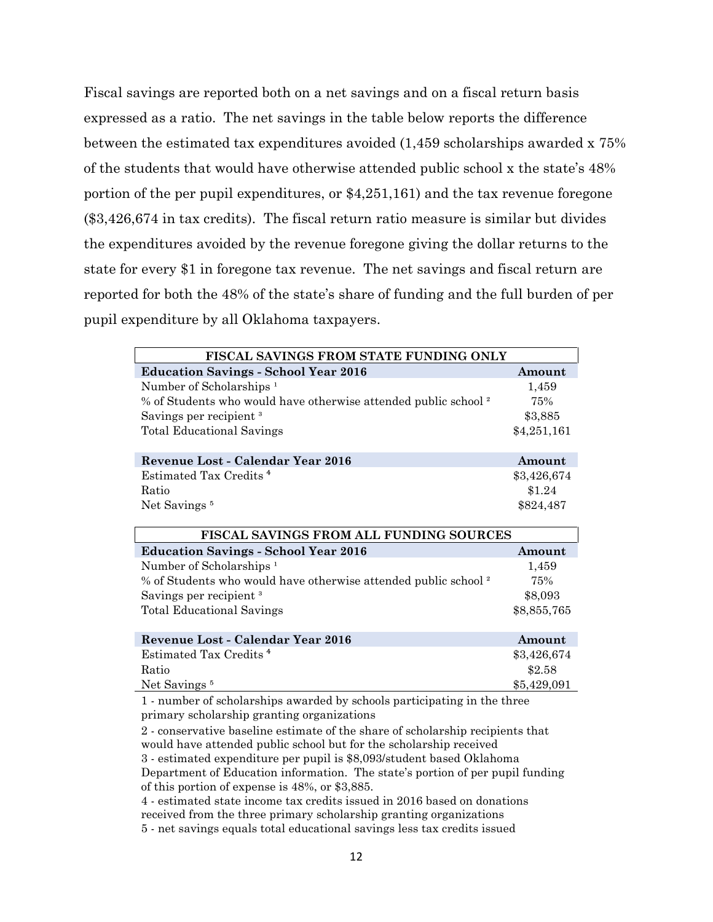Fiscal savings are reported both on a net savings and on a fiscal return basis expressed as a ratio. The net savings in the table below reports the difference between the estimated tax expenditures avoided (1,459 scholarships awarded x 75% of the students that would have otherwise attended public school x the state's 48% portion of the per pupil expenditures, or \$4,251,161) and the tax revenue foregone (\$3,426,674 in tax credits). The fiscal return ratio measure is similar but divides the expenditures avoided by the revenue foregone giving the dollar returns to the state for every \$1 in foregone tax revenue. The net savings and fiscal return are reported for both the 48% of the state's share of funding and the full burden of per pupil expenditure by all Oklahoma taxpayers.

| FISCAL SAVINGS FROM STATE FUNDING ONLY                                         |             |  |  |  |  |
|--------------------------------------------------------------------------------|-------------|--|--|--|--|
| <b>Education Savings - School Year 2016</b>                                    | Amount      |  |  |  |  |
| Number of Scholarships <sup>1</sup>                                            | 1,459       |  |  |  |  |
| % of Students who would have otherwise attended public school <sup>2</sup>     | 75%         |  |  |  |  |
| Savings per recipient <sup>3</sup>                                             | \$3,885     |  |  |  |  |
| <b>Total Educational Savings</b>                                               | \$4,251,161 |  |  |  |  |
|                                                                                |             |  |  |  |  |
| Revenue Lost - Calendar Year 2016                                              | Amount      |  |  |  |  |
| Estimated Tax Credits <sup>4</sup>                                             | \$3,426,674 |  |  |  |  |
| Ratio                                                                          | \$1.24      |  |  |  |  |
| Net Savings <sup>5</sup>                                                       | \$824,487   |  |  |  |  |
|                                                                                |             |  |  |  |  |
| <b>FISCAL SAVINGS FROM ALL FUNDING SOURCES</b>                                 |             |  |  |  |  |
| <b>Education Savings - School Year 2016</b>                                    | Amount      |  |  |  |  |
| Number of Scholarships <sup>1</sup>                                            | 1,459       |  |  |  |  |
| % of Students who would have otherwise attended public school <sup>2</sup>     | 75%         |  |  |  |  |
| Savings per recipient <sup>3</sup>                                             | \$8,093     |  |  |  |  |
| <b>Total Educational Savings</b>                                               | \$8,855,765 |  |  |  |  |
|                                                                                |             |  |  |  |  |
| Revenue Lost - Calendar Year 2016                                              | Amount      |  |  |  |  |
| Estimated Tax Credits <sup>4</sup>                                             | \$3,426,674 |  |  |  |  |
| Ratio                                                                          | \$2.58      |  |  |  |  |
| Net Savings <sup>5</sup>                                                       | \$5,429,091 |  |  |  |  |
| 1 - number of scholarships awarded by schools participating in the three       |             |  |  |  |  |
| primary scholarship granting organizations                                     |             |  |  |  |  |
| 2 - conservative baseline estimate of the share of scholarship recipients that |             |  |  |  |  |
| would have attended public school but for the scholarship received             |             |  |  |  |  |
| 3 - estimated expenditure per pupil is \$8,093/student based Oklahoma          |             |  |  |  |  |
| Department of Education information. The state's portion of per pupil funding  |             |  |  |  |  |

of this portion of expense is 48%, or \$3,885.

4 - estimated state income tax credits issued in 2016 based on donations received from the three primary scholarship granting organizations 5 - net savings equals total educational savings less tax credits issued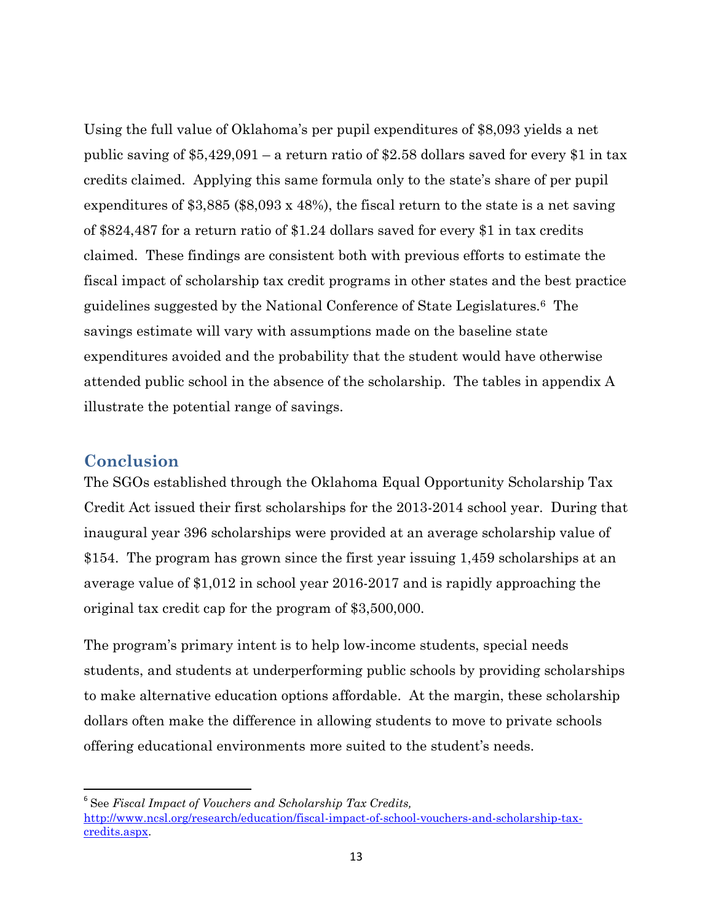Using the full value of Oklahoma's per pupil expenditures of \$8,093 yields a net public saving of \$5,429,091 – a return ratio of \$2.58 dollars saved for every \$1 in tax credits claimed. Applying this same formula only to the state's share of per pupil expenditures of \$3,885 (\$8,093 x 48%), the fiscal return to the state is a net saving of \$824,487 for a return ratio of \$1.24 dollars saved for every \$1 in tax credits claimed. These findings are consistent both with previous efforts to estimate the fiscal impact of scholarship tax credit programs in other states and the best practice guidelines suggested by the National Conference of State Legislatures.6 The savings estimate will vary with assumptions made on the baseline state expenditures avoided and the probability that the student would have otherwise attended public school in the absence of the scholarship. The tables in appendix A illustrate the potential range of savings.

### **Conclusion**

 $\overline{\phantom{a}}$ 

The SGOs established through the Oklahoma Equal Opportunity Scholarship Tax Credit Act issued their first scholarships for the 2013-2014 school year. During that inaugural year 396 scholarships were provided at an average scholarship value of \$154. The program has grown since the first year issuing 1,459 scholarships at an average value of \$1,012 in school year 2016-2017 and is rapidly approaching the original tax credit cap for the program of \$3,500,000.

The program's primary intent is to help low-income students, special needs students, and students at underperforming public schools by providing scholarships to make alternative education options affordable. At the margin, these scholarship dollars often make the difference in allowing students to move to private schools offering educational environments more suited to the student's needs.

<sup>6</sup> See *Fiscal Impact of Vouchers and Scholarship Tax Credits,*  [http://www.ncsl.org/research/education/fiscal-impact-of-school-vouchers-and-scholarship-tax](http://www.ncsl.org/research/education/fiscal-impact-of-school-vouchers-and-scholarship-tax-credits.aspx)[credits.aspx.](http://www.ncsl.org/research/education/fiscal-impact-of-school-vouchers-and-scholarship-tax-credits.aspx)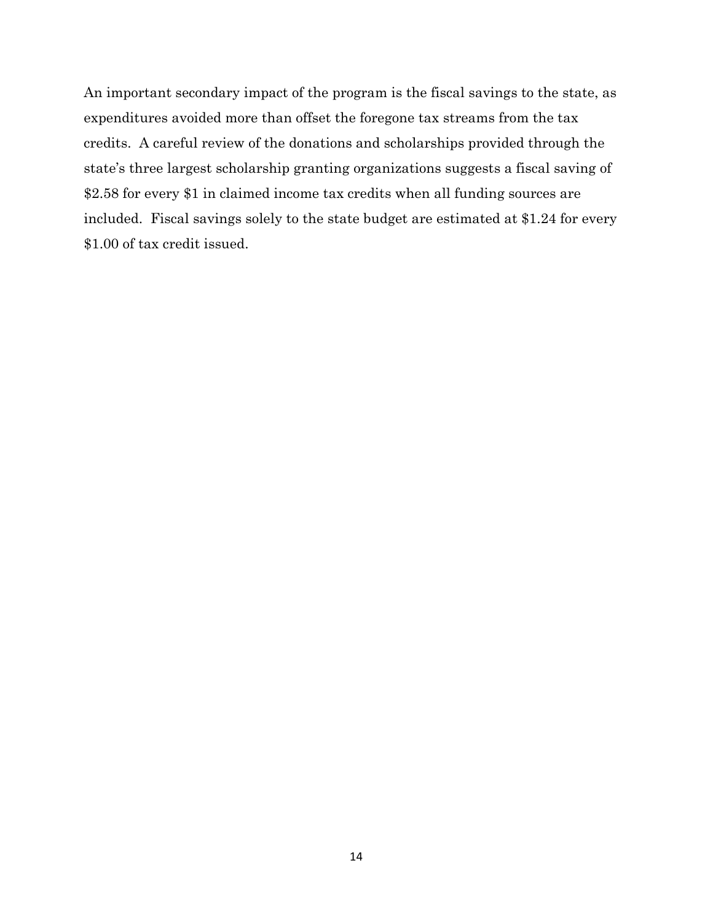An important secondary impact of the program is the fiscal savings to the state, as expenditures avoided more than offset the foregone tax streams from the tax credits. A careful review of the donations and scholarships provided through the state's three largest scholarship granting organizations suggests a fiscal saving of \$2.58 for every \$1 in claimed income tax credits when all funding sources are included. Fiscal savings solely to the state budget are estimated at \$1.24 for every \$1.00 of tax credit issued.